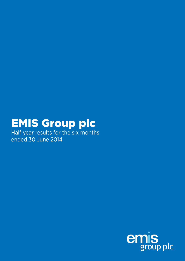# EMIS Group plc

Half year results for the six months ended 30 June 2014

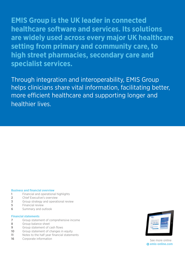**Financial statements EMIS Group is the UK leader in connected healthcare software and services. Its solutions are widely used across every major UK healthcare setting from primary and community care, to high street pharmacies, secondary care and specialist services.**

Through integration and interoperability, EMIS Group helps clinicians share vital information, facilitating better, more efficient healthcare and supporting longer and healthier lives.

#### **Business and financial overview**

- **1** Financial and operational highlights
- **2** Chief Executive's overview
- **3** Group strategy and operational review
- **5** Financial review
- **6** Summary and outlook

#### **Financial statements**

- **7** Group statement of comprehensive income
- **8** Group balance sheet
- **9** Group statement of cash flows
- **10** Group statement of changes in equity
- **11** Notes to the half year financial statements
- **16** Corporate information **Construction** See more online



**emis-online.com**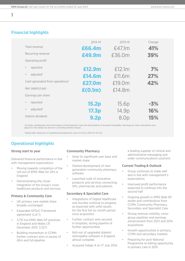## **Financial highlights**

|                                             | 2014 H1          | 2013 H1 | Change |
|---------------------------------------------|------------------|---------|--------|
| Total revenue                               | £66.4m           | £47.1m  | 41%    |
| Recurring revenue                           | £49.9m           | £36.0m  | 39%    |
| Operating profit                            |                  |         |        |
| reported<br>$\bullet$                       | £12.9m           | £12.1m  | 7%     |
| adjusted <sup>1</sup><br>$\bullet$          | £14.6m           | £11.6m  | 27%    |
| Cash generated from operations <sup>2</sup> | £27.0m           | £19.0m  | 42%    |
| Net (debt)/cash                             | E(0.1m)          | £14.8m  |        |
| Earnings per share                          |                  |         |        |
| reported<br>$\bullet$                       | <b>15.2p</b>     | 15.6p   | $-3%$  |
| adjusted <sup>1</sup><br>$\bullet$          | <b>17.3p</b>     | 14.9p   | 16%    |
| Interim dividend                            | 9.2 <sub>p</sub> | 8.Op    | 15%    |

1 Excludes capitalisation and amortisation of development costs and amortisation of acquired intangibles. Earnings per share calculations also adjust for the related tax and non-controlling interest impact.

2 Stated after deduction of capitalised development costs of £3.5m (2013 H1: £2.7m).

## **Operational highlights**

## **Strong start to year**

Delivered financial performance in line with management expectations

- Moving towards completion of the roll-out of EMIS Web for GPs in England
- Demonstrating the closer integration of the Group's crosshealthcare products and services

## **Primary & Community Care**

- UK primary care market share broadly unchanged
- Expanded GPSoC Framework agreement (Lot 1)
- 3,751 live EMIS Web GP practices in England and Wales (31 December 2013: 3,327)
- Building momentum in CCMH: further contract wins in excess of £6m and full pipeline

## **Community Pharmacy**

- Grew its significant user base and market share
- Started development of next generation community pharmacy software
- Launched suite of innovative products and services connecting GPs, pharmacists and patients

## **Secondary & Specialist Care**

- Integrations of Digital Healthcare and Ascribe continue to progress as expected with solid results for the first full six month period since acquisition
- Further contract wins secured in hospitals, strong pipeline of further opportunities
- Roll-out of upgraded diabetic retinopathy software in England almost complete
- Acquired Indigo 4 on 17 July 2014,

a leading supplier of clinical and administrative messaging and order communications solutions

## **Current Trading & Outlook**

- Group continues to trade well and in line with management's expectations
- Improved profit performance expected to continue into the second half
- Ongoing growth in EMIS Web GP estate and contributions from CCMH, Community Pharmacy, Secondary and Specialist Care
- Strong revenue visibility, crossgroup pipelines and earnings enhancement from 2013 and 2014 acquisitions
- Growth opportunities in primary, CCMH and secondary markets
- Preparing for post National Programme re-letting opportunity in primary care in 2015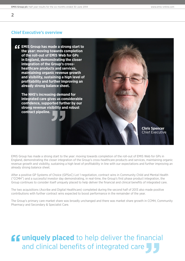## **Chief Executive's overview**



EMIS Group has made a strong start to the year: moving towards completion of the roll-out of EMIS Web for GPs in England, demonstrating the closer integration of the Group's cross-healthcare products and services, maintaining organic revenue growth and visibility, sustaining a high level of profitability in line with our expectations and further improving an already strong balance sheet.

After a positive GP Systems of Choice (GPSoC) Lot 1 negotiation, contract wins in Community Child and Mental Health ("CCMH") and a successful investor day demonstrating, in real-time, the Group's first phase product integration, the Group continues to consider itself uniquely placed to help deliver the financial and clinical benefits of integrated care.

The two acquisitions (Ascribe and Digital Healthcare) completed during the second half of 2013 also made positive contributions with further contract wins expected to boost performance in the remainder of the year.

The Group's primary care market share was broadly unchanged and there was market share growth in CCMH, Community Pharmacy and Secondary & Specialist Care.

## **ff uniquely placed** to help deliver the financial and clinical benefits of integrated care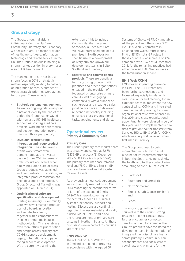## **Group strategy**

The Group, through divisions in Primary & Community Care, Community Pharmacy and Secondary & Specialist Care, is a major provider of healthcare software, information technology and related services in the UK. The Group is unique in holding a strong market position in every major area of UK healthcare IT.

The management team has had a strong focus in 2014 on strategic matters especially relating to delivery of integration of care. A number of group strategic priorities were agreed for the year. These include:

- **Strategic customer engagement.**  As well as ongoing relationships at a national level, by the end of the period the Group had engaged with ten large UK NHS healthcare economies on integrated care projects, working on both tactical and deeper integration over a minimum three year period;
- **Divisional restructuring/ integration and group product integration.** The initial results of this work stream were demonstrated at the investor day on 3 June 2014 in terms of both product and brand, when a fully integrated suite of cross-Group products was launched and demonstrated. In addition, an integrated product roadmap has been developed and agreed. A Group Director of Marketing was appointed on 1 March 2014;
- **Optimisation of software specification and development.**  Starting in Primary & Community Care, we have created a product portfolio board, innovation and architecture team, together with a comprehensive training programme in agile methodologies. This is enabling even more efficient prioritisation and design across primary care, CCMH, support development, legacy, international and patient facing services development. We are currently planning the

extension of this to include Community Pharmacy and Secondary & Specialist Care. We have refurbished one of our premises in North Leeds for specific use as a development delivery hub and grown our development teams in Bolton, Scotland and Chennai;

• **Enterprise and commissioning products.** These are beneficial for the growing groups of GP practices and other organisations engaged in the provision of federated or enterprise primary care. As well as engaging commercially with a number of such groups and creating a sales pipeline, we have also delivered relevant functionality including enhanced cross-organisational tasks, appointments and alerts.

## **Operational review Primary & Community Care**

## **Primary Care**

The Group's primary care market share was broadly unchanged at 52.7% (5,179 GP practices) (31 December 2013: 53.0% (5,232 GP practices)). The primary care user base remains loyal and 78% of EMIS's English GP practices have used an EMIS system for over 10 years.

As previously announced, agreement was successfully reached on 28 March 2014 regarding the commercial terms of Lot 1 of the expanded English GPSoC Framework covering all the centrally funded GP Clinical IT system functionality, support and hosting. Discussions are continuing regarding the less material and locally funded GPSoC Lots 2 and 3 and the re-procurement of primary care systems in Northern Ireland. All these discussions are expected to conclude later this year.

## **EMIS Web GP**

The roll-out of EMIS Web for GPs in England continued to progress in accordance with the agreed GP Systems of Choice (GPSoC) timetable. At the period end, there were 3,751 live EMIS Web GP practices in England and Wales (representing 84% of EMIS's total GP estate in those countries), an increase of 424 compared with 3,327 at 31 December 2013. All the remaining practices had either ordered EMIS Web or were in the familiarisation service.

## **EMIS Web CCMH**

EMIS has an expanding presence in CCMH. The CCMH team has been further strengthened and focussed, especially in relation to sales specialists and planning for an extended team to implement the new contract wins. CCMH and integrated care functionality relating to crossorganisational tasks was released in May 2014 and cross-organisational appointments were released in July of this year. We also implemented a new data migration tool for transfers from Servelec RiO to EMIS Web for CCMH, which was very well received when first used in Bromley.

The Group continued to build momentum in CCMH with a full pipeline for its integrated offering in both the South and, increasingly, the North, and further contract wins amounting to over £6.0m in value:

- Blackpool;
- Southport and Ormskirk;
- North Somerset;
- Sirona (South Gloucestershire); and
- Leeds.

This ongoing growth in CCMH, coupled with the Group's strong presence in other care settings, further encourages connected care. In Camden, for example, the Group's products have facilitated the development and implementation of integrated multidisciplinary teams across primary & community care, secondary care and social care to coordinate and plan care for the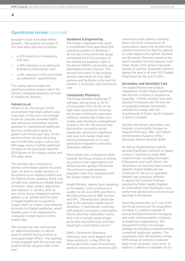## **Operational review continued**

borough's most vulnerable elderly patients. The positive outcomes of this have been reported as follows:

- a 52% reduction in emergency bed days;
- a 48% reduction in accident and emergency attendances; and
- a 33% reduction in first and follow up outpatients' appointments.

This clearly demonstrates the significant positive impact which the Group's integrated products can have on healthcare delivery.

#### **Patient.co.uk**

Patient.co.uk, the Group's online environment that helps patients play a key part in their own care through access to clinically reviewed health and well-being information and the gateway for transactional healthcare services, continued to grow its patient and clinical user base. At the period end the site was attracting each month 14m unique visitors and 28m page views, a further significant increase on the previously reported 2013 figures of 11m unique visitors and 21m page views.

The business also continued to develop and release patient-focussed Apps. As well as mobile versions of the patient.co.uk medical content and the Patient Access gateway, these now include tools relating to Irritable Bowel Syndrome, sleep, weight, depression and migraine. In January 2014, as part of the Group integration activity, patient.co.uk worked with the team in Digital Healthcare (acquired in August 2013) to create a new diabetes microsite for Digital Healthcare, which enables users to be signposted to a bespoke trusted resource with a related App.

The process has now commenced for selecting providers to deliver paid-for patient-facing services as envisaged under GPSoC. The business is fully engaged with this process and expects further progress later in the year.

## **Hardware & Engineering**

The Group's engineers have spent a considerable time upgrading NHS operating systems to Windows 7. At the end of the period the Group completed the £1.2m purchase of the intellectual property rights in the former PAERS Ltd primary care automated arrivals business. This secures full control of the existing primary care estate of circa 1,800 systems and facilitates entry into the markets in secondary and community care.

#### **Community Pharmacy**

The Group provides healthcare IT, software, and services to 35.7% (31 December 2013: 35.3%) of UK high street pharmacies. ProScript, the Group's community pharmacy software, remains the single most widely used dispensary management system in the UK. The division also had another successful period organically: growing its significant user base and market share and starting development of its next generation integrated community pharmacy software.

The business also continues to work towards the Group mission of joining up products and organisations and delivering even greater efficiencies. The division's implementation engineers were fully integrated with the Group's Egton division.

Health Minister, Jeremy Hunt, speaking at the Health + Care conference in London on 26 June 2014 said that to decrease pressures on A&E services and GPs; "[Pharmacists] need to be part of the electronic health record revolution. If pharmacists could see, with people's permission, prescription history and their medication record, then a lot of people would simply go to their local pharmacy and they would get a much better service."

EMIS's Community Pharmacy offering is very much aligned with these ambitions. In May 2014 the Group launched a suite of innovative products and services connecting GPs, pharmacists and patients including direct electronic transmission of prescriptions along with an electronic patient record and an App for patients to order repeat prescriptions. Numark and Rowlands Pharmacy acted as the launch partners but the response from other clients of Rx Systems has been equally as positive. Rowlands intend to deploy the App to all their 500 English Pharmacies by the end of 2014.

#### **Secondary and Specialist Care**

The organisational and product integrations of both Digital Healthcare and Ascribe continue to progress as expected. Further contract wins were secured in hospitals and the roll-out of upgraded diabetic retinopathy software to comply with the requirements of Public Health England is almost complete.

Ascribe, the Group's secondary care business, is principally focused on Hospital Pharmacy, A&E, and Patient Administration Systems (PAS)/ Electronic Patient Records (EPR).

As well as implementing recently secured significant contracts to supply clinical IT solutions to major NHS hospital trusts, including Doncaster & Bassetlaw and South Devon, the secondary care business has a strong pipeline. Digital Healthcare has continued its roll-out of upgraded diabetic eye screening software to deliver the Common Pathway required by Public Health England. As anticipated, both businesses have performed satisfactorily and enhanced earnings in the period.

Since the period end, on 17 July 2014, the Group announced the acquisition of Indigo 4, a leading supplier of clinical and administrative messaging and order communications solutions to healthcare organisations. The transaction furthers the Group's strategy of providing comprehensively connected healthcare systems. The acquisition, from the founders, brings EMIS Group an extensive customer base in the secondary care sector. In addition it delivers a complete set of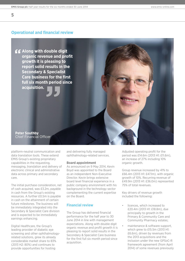## **Operational and financial review**

**Along with double digit organic revenue and profit growth it is pleasing to report solid results in the Secondary & Specialist Care business for the first full six month period since acquisition.**

**Peter Southby** Chief Financial Officer

platform-neutral communication and data translation tools. These extend EMIS Group's existing proprietary capabilities in the requesting, messaging, translation and delivery of electronic clinical and administrative data across primary and secondary care.

The initial purchase consideration, net of cash acquired, was £3.2m, payable in cash from the Group's existing resources. A further £0.5m is payable in cash on the attainment of certain future milestones. The business will be immediately integrated into the Secondary & Specialist Care division and is expected to be immediately earnings enhancing.

Digital Healthcare, the Group's leading provider of diabetic eye screening and other ophthalmologyrelated solutions, grew its already considerable market share to 83% (2013 H2: 80%) and continues to provide opportunities for hosting

and delivering fully managed ophthalmology-related services.

#### **Board appointment**

As announced on 9 May 2014, Kevin Boyd was appointed to the Board as an independent Non-Executive Director. Kevin brings extensive board level financial experience in a public company environment with his background in the technology sector complementing the current expertise on the Board.

## **Financial review**

The Group has delivered financial performance for the half year to 30 June 2014 in line with management expectations. Along with double digit organic revenue and profit growth it is pleasing to report solid results in the Secondary & Specialist Care business for the first full six month period since acquisition.

Adjusted operating profit for the period was £14.6m (2013 H1: £11.6m), an increase of 27% including 10% organic growth.

Group revenue increased by 41% to £66.4m (2013 H1: £47.1m), with organic growth of 10%. Recurring revenue of £49.9m (2013 H1: £36.0m) represented 75% of total revenues.

Key drivers of revenue growth included the following:

- licences, which increased to £20.4m (2013 H1: £18.8m), due principally to growth in the Primary & Community Care and Community Pharmacy estates;
- maintenance & software support, which grew to £15.5m (2013 H1: £6.6m), driven by revenues from the 2013 acquisitions and the inclusion under the new GPSoC-R framework agreement (from April 2014) of some revenues previously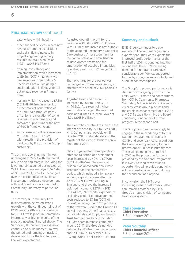## **Financial review** continued

categorised within hosting;

- other support services, where new revenues from the acquisitions and a significant increase in project engineering activity resulted in total revenues of £10.3m (2013 H1: £7.2m);
- training, consultancy and implementation, which increased to £9.3m (2013 H1: £4.9m) with new revenues in Secondary & Specialist Care outweighing a small reduction in EMIS Web rollout related revenue in Primary Care;
- hosting, which increased to £7.3m (2013 H1: £6.3m), as a result of further market penetration of the EMIS Web product, partly offset by a reallocation of some revenues to maintenance and software support under the new GPSoC-R framework; and
- an increase in hardware revenues to £3.6m (2013 H1: £3.3m) with growth in the provision of hardware by Egton to the Group's customers.

The organic operating margin was unchanged at 24.5% with the overall group operating margin (including the lower margin acquired businesses) at 22.1%. The Group employed 1,577 staff at 30 June 2014, broadly unchanged over the period, despite significant investment in software development, with additional resources secured in Community Pharmacy of particular note.

The Primary & Community Care business again delivered strong growth with the continued roll-out of EMIS Web for GPs and increasingly for CCMH, while profit in Community Pharmacy was higher in spite of the product investment noted above. The Secondary & Specialist Care division continued to build momentum over the period and remains on track to deliver results for the first full year in line with expectations.

Adjusted operating profit for the period was £14.6m (2013 H1: £11.6m) with £1.9m of the increase attributable to the acquired Secondary & Specialist Care business. After accounting for the capitalisation and amortisation of development costs and the amortisation of acquired intangibles, operating profit was £12.9m (2013 H1: £12.1m).

The tax charge for the period was unchanged at £2.7m, representing an effective rate of tax of 21.6% (2013 H1: 22.4%).

Adjusted basic and diluted EPS increased by 16% to 17.3p (2013 H1: 14.9p). As a result of higher amortisation charges, the reported basic and diluted EPS were lower at 15.2p (2013 H1: 15.6p).

The Board has resolved to increase the interim dividend by 15% to 9.2p (2013 H1: 8.0p) per share, payable on 31 October 2014 to shareholders on the register at the close of business on 26 September 2014.

Net cash generated from operations after capitalisation of development costs increased by 42% to £27.0m (2013 H1: £19.0m). The seasonal first half-weighted cash flows were stronger than the comparative period, which included a temporary working capital increase after the April 2013 NHS restructuring in England, and drove the increase in deferred income to £37.9m (2013 H1: £24.6m). Net capital expenditure excluding capitalised development costs reduced to £3.8m (2013 H1: £5.2m), including the £1.2m purchase of the software used in the Group's GP arrivals screens. After finance costs, tax, dividends and Employee Benefit Trust transactions (which included a £2.0m share purchase completed in June 2014), the Group's net debt reduced by £13.4m from the last year end to £0.1m (31 December 2013: £13.5m; 2013 H1: net cash of £14.8m).

## **Summary and outlook**

EMIS Group continues to trade well and in line with management's expectations. The Board expects the improved profit performance of the first half of 2014 to continue into the second half. The NHS's increasing demand for integrated care gives considerable confidence, supported further by strong revenue visibility and a robust contract pipeline.

The Group's improved performance is derived from ongoing growth in the EMIS Web GP estate and contributions from CCMH, Community Pharmacy, Secondary & Specialist Care. Revenue visibility, cross-group pipelines and the earnings enhancement of our 2013 and 2014 acquisitions give the Board continuing confidence of further progress in the second half.

The Group continues increasingly to engage in the re-tendering of former National Programme contracts in CCMH and secondary care. In addition, the Group is also preparing for new growth opportunities in primary care. These will be opening up to EMIS in 2016 as the protection formerly provided by the National Programme falls away. Seizing these multiple opportunities will provide continuing solid and sustainable growth during the second half and beyond.

In conclusion, the NHS's ever increasing need for affordably better care remains matched by EMIS Group's strategic vision of connected healthcare systems.

**Chris Spencer Chief Executive** 5 September 2014

**Peter Southby Chief Financial Officer** 5 September 2014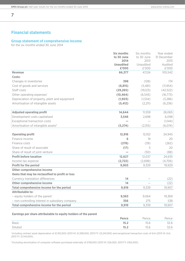## **Financial statements**

## **Group statement of comprehensive income**

for the six months ended 30 June 2014

|                                                  | <b>Six months</b>         | Six months         | Year ended       |
|--------------------------------------------------|---------------------------|--------------------|------------------|
|                                                  | to 30 June                | to 30 June         | 31 December      |
|                                                  | 2014                      | 2013               | 2013             |
|                                                  | <b>Unaudited</b><br>£'000 | Unaudited<br>£'000 | Audited<br>£'000 |
| <b>Revenue</b>                                   | 66,377                    | 47,124             | 105,542          |
| Costs:                                           |                           |                    |                  |
|                                                  |                           |                    |                  |
| Changes in inventories                           | 398                       | (128)              | 174              |
| Cost of goods and services                       | (6, 815)                  | (5,481)            | (11, 954)        |
| Staff costs                                      | (29, 265)                 | (19, 123)          | (42, 522)        |
| Other operating expenses <sup>1</sup>            | (10, 464)                 | (6, 545)           | (16, 773)        |
| Depreciation of property, plant and equipment    | (1, 903)                  | (1,534)            | (3,286)          |
| Amortisation of intangible assets                | (5, 412)                  | (2,211)            | (6, 236)         |
| <b>Adjusted operating profit</b>                 | 14,644                    | 11,559             | 26,065           |
| Development costs capitalised                    | 3,546                     | 2,698              | 6,098            |
| <b>Exceptional transaction costs</b>             |                           |                    | (1,144)          |
| Amortisation of intangible assets <sup>2</sup>   | (5,274)                   | (2,155)            | (6,074)          |
| <b>Operating profit</b>                          | 12,916                    | 12,102             | 24,945           |
| Finance income                                   | 6                         | 19                 | 20               |
| Finance costs                                    | (278)                     | (39)               | (262)            |
| Share of result of associate                     | (17)                      | 5                  | 20               |
| Share of result of joint venture                 |                           | (50)               | (88)             |
| <b>Profit before taxation</b>                    |                           |                    |                  |
|                                                  | 12,627                    | 12,037             | 24,635           |
| Income tax expense                               | (2,722)                   | (2,698)            | (4,706)          |
| <b>Profit for the period</b>                     | 9,905                     | 9,339              | 19,929           |
| <b>Other comprehensive income</b>                |                           |                    |                  |
| Items that may be reclassified to profit or loss |                           |                    |                  |
| <b>Currency translation differences</b>          | 14                        |                    | (22)             |
| <b>Other comprehensive income</b>                | 14                        |                    | (22)             |
| Total comprehensive income for the period        | 9,919                     | 9,339              | 19,907           |
| <b>Attributable to:</b>                          |                           |                    |                  |
| - equity holders of the parent                   | 9,563                     | 9,064              | 19,369           |
| - non-controlling interest in subsidiary company | 356                       | 275                | 538              |
| Total comprehensive income for the period        | 9,919                     | 9,339              | 19,907           |

## **Earnings per share attributable to equity holders of the parent**

|              | Pence | Pence | Pence      |
|--------------|-------|-------|------------|
| <b>Basic</b> | 15.2  | 15.6  | $\sqrt{2}$ |
| Diluted      | 15.2  | 15.6  | $\sim$     |

<sup>1</sup>Including contract asset depreciation of £1,912,000 (2013 H1: £1,398,000, 2013 FY: £3,241,000) and exceptional transaction costs of £nil (2013 H1: £nil, 2013 FY: £1,144,000).

2 Excluding amortisation of computer software purchased externally of £138,000 (2013 H1: £56,000, 2013 FY: £162,000).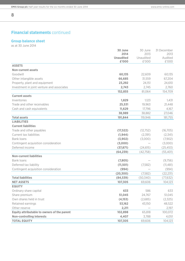## **Financial statements** continued

## **Group balance sheet**

as at 30 June 2014

**8**

|                                                    | 30 June                  | 30 June           | 31 December     |
|----------------------------------------------------|--------------------------|-------------------|-----------------|
|                                                    | 2014<br><b>Unaudited</b> | 2013<br>Unaudited | 2013<br>Audited |
|                                                    | £'000                    | £'000             | £'000           |
| <b>ASSETS</b>                                      |                          |                   |                 |
| <b>Non-current assets</b>                          |                          |                   |                 |
| Goodwill                                           | 60,135                   | 22,609            | 60,135          |
| Other intangible assets                            | 66,685                   | 31,559            | 67,204          |
| Property, plant and equipment                      | 23,292                   | 24,151            | 24,610          |
| Investment in joint venture and associates         | 2,743                    | 2,745             | 2,760           |
|                                                    | 152,855                  | 81,064            | 154,709         |
| <b>Current assets</b>                              |                          |                   |                 |
| Inventories                                        | 1,829                    | 1,123             | 1,431           |
| Trade and other receivables                        | 25,531                   | 19,963            | 21,448          |
| Cash and cash equivalents                          | 11,629                   | 17,796            | 4,167           |
|                                                    | 38,989                   | 38,882            | 27,046          |
| <b>Total assets</b>                                | 191,844                  | 119,946           | 181,755         |
| <b>LIABILITIES</b>                                 |                          |                   |                 |
| <b>Current liabilities</b>                         |                          |                   |                 |
| Trade and other payables                           | (17, 522)                | (12, 752)         | (16, 705)       |
| Current tax liabilities                            | (1, 944)                 | (2,391)           | (2, 341)        |
| <b>Bank loans</b>                                  | (3,902)                  | (3,000)           | (7,902)         |
| Contingent acquisition consideration               | (3,000)                  |                   | (3,000)         |
| Deferred income                                    | (37, 871)                | (24, 615)         | (25, 453)       |
|                                                    | (64, 239)                | (42,758)          | (55, 401)       |
| <b>Non-current liabilities</b>                     |                          |                   |                 |
| <b>Bank loans</b>                                  | (7,805)                  |                   | (9,756)         |
| Deferred tax liability                             | (11, 501)                | (7,582)           | (11, 481)       |
| Contingent acquisition consideration               | (994)                    |                   | (994)           |
|                                                    | (20, 300)                | (7,582)           | (22, 231)       |
| <b>Total liabilities</b>                           | (84, 539)                | (50, 340)         | (77, 632)       |
| <b>NET ASSETS</b>                                  | 107,305                  | 69,606            | 104,123         |
| <b>EQUITY</b>                                      |                          |                   |                 |
| Ordinary share capital                             | 633                      | 586               | 633             |
| Share premium                                      | 51,045                   | 24,767            | 51,045          |
| Own shares held in trust                           | (4,153)                  | (2,685)           | (2,325)         |
| Retained earnings                                  | 53,162                   | 43,150            | 48,522          |
| Other reserve                                      | 2,211                    |                   | 2,197           |
| <b>Equity attributable to owners of the parent</b> | 102,898                  | 65,818            | 100,072         |
| <b>Non-controlling interests</b>                   | 4,407                    | 3,788             | 4,051           |
| <b>TOTAL EQUITY</b>                                | 107,305                  | 69,606            | 104,123         |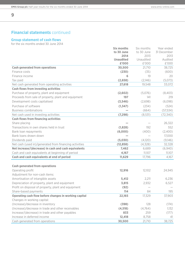## **Financial statements** continued

## **Group statement of cash flows**

for the six months ended 30 June 2014

|                                                        | Six months       | Six months | Year ended  |
|--------------------------------------------------------|------------------|------------|-------------|
|                                                        | to 30 June       | to 30 June | 31 December |
|                                                        | 2014             | 2013       | 2013        |
|                                                        | <b>Unaudited</b> | Unaudited  | Audited     |
|                                                        | £'000            | £'000      | £'000       |
| <b>Cash generated from operations</b>                  | 30,500           | 21,710     | 38,725      |
| Finance costs                                          | (230)            | (35)       | (600)       |
| Finance income                                         | 6                | 19         | 20          |
| Tax paid                                               | (2,658)          | (2,146)    | (5,073)     |
| Net cash generated from operating activities           | 27,618           | 19,548     | 33,072      |
| <b>Cash flows from investing activities</b>            |                  |            |             |
| Purchase of property, plant and equipment              | (2,602)          | (5,076)    | (8,403)     |
| Proceeds from sale of property, plant and equipment    | 197              | 141        | 219         |
| Development costs capitalised                          | (3, 546)         | (2,698)    | (6,098)     |
| Purchase of software                                   | (1, 347)         | (234)      | (524)       |
| <b>Business combinations</b>                           |                  | (664)      | (57, 534)   |
| Net cash used in investing activities                  | (7, 298)         | (8,531)    | (72, 340)   |
| <b>Cash flows from financing activities</b>            |                  |            |             |
| Share placing                                          |                  |            | 26,322      |
| Transactions in own shares held in trust               | (1,828)          | 192        | 552         |
| Bank loan repayments                                   | (6,000)          | (400)      | (2,400)     |
| Bank loans drawn down                                  |                  |            | 17,000      |
| Dividends paid                                         | (5,030)          | (4, 120)   | (9,146)     |
| Net cash (used in)/generated from financing activities | (12, 858)        | (4, 328)   | 32,328      |
| Net increase/(decrease) in cash and cash equivalents   | 7,462            | 6,689      | (6,940)     |
| Cash and cash equivalents at beginning of period       | 4,167            | 11,107     | 11,107      |
| Cash and cash equivalents at end of period             | 11,629           | 17,796     | 4,167       |
|                                                        |                  |            |             |
| <b>Cash generated from operations</b>                  |                  |            |             |
| Operating profit                                       | 12,916           | 12,102     | 24,945      |
| Adjustment for non-cash items:                         |                  |            |             |
| Amortisation of intangible assets                      | 5,412            | 2,211      | 6,236       |
| Depreciation of property, plant and equipment          | 3,815            | 2,932      | 6,527       |
| Profit on disposal of property, plant and equipment    | (92)             |            |             |
| Share-based payments                                   | 114              | 84         | 195         |
| Operating cash flow before changes in working capital  | 22,165           | 17,329     | 37,903      |
| Changes in working capital:                            |                  |            |             |
| (Increase)/decrease in inventory                       | (398)            | 128        | (174)       |
| (Increase)/decrease in trade and other receivables     | (4, 518)         | (4,764)    | 1,132       |
| Increase/(decrease) in trade and other payables        | 833              | 259        | (177)       |
| Increase in deferred income                            | 12,418           | 8,758      | 41          |
| Cash generated from operations                         | 30,500           | 21,710     | 38,725      |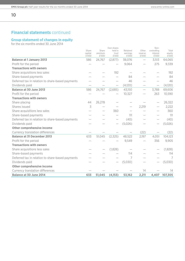## **Financial statements** continued

## **Group statement of changes in equity**

for the six months ended 30 June 2014

|                                                  | Share<br>capital<br>£'000 | Share<br>premium<br>£'000 | Own shares<br>held in<br>trust<br>£'000 | Retained<br>earnings<br>£'000 | Other<br>reserve<br>£'000 | Non-<br>controlling<br>interest<br>£'000 | Total<br>equity<br>£'000 |
|--------------------------------------------------|---------------------------|---------------------------|-----------------------------------------|-------------------------------|---------------------------|------------------------------------------|--------------------------|
| <b>Balance at 1 January 2013</b>                 | 586                       | 24,767                    | (2,877)                                 | 38,076                        |                           | 3,513                                    | 64,065                   |
| Profit for the period                            |                           |                           |                                         | 9,064                         |                           | 275                                      | 9,339                    |
| <b>Transactions with owners</b>                  |                           |                           |                                         |                               |                           |                                          |                          |
| Share acquisitions less sales                    |                           |                           | 192                                     |                               |                           |                                          | 192                      |
| Share-based payments                             |                           |                           |                                         | 84                            |                           |                                          | 84                       |
| Deferred tax in relation to share-based payments |                           |                           |                                         | 46                            |                           |                                          | 46                       |
| Dividends paid                                   | $\overline{\phantom{0}}$  |                           |                                         | (4, 120)                      |                           |                                          | (4,120)                  |
| <b>Balance at 30 June 2013</b>                   | 586                       | 24,767                    | (2,685)                                 | 43,150                        | $\overline{\phantom{0}}$  | 3,788                                    | 69,606                   |
| Profit for the period                            |                           |                           |                                         | 10,327                        |                           | 263                                      | 10,590                   |
| <b>Transactions with owners</b>                  |                           |                           |                                         |                               |                           |                                          |                          |
| Share placing                                    | 44                        | 26,278                    |                                         |                               |                           |                                          | 26,322                   |
| Shares issued                                    | 3                         |                           |                                         |                               | 2,219                     |                                          | 2,222                    |
| Share acquisitions less sales                    |                           |                           | 360                                     |                               |                           |                                          | 360                      |
| Share-based payments                             |                           |                           |                                         | 111                           |                           |                                          | 111                      |
| Deferred tax in relation to share-based payments |                           |                           |                                         | (40)                          |                           |                                          | (40)                     |
| Dividends paid                                   |                           |                           |                                         | (5,026)                       |                           |                                          | (5,026)                  |
| <b>Other comprehensive income</b>                |                           |                           |                                         |                               |                           |                                          |                          |
| Currency translation differences                 |                           |                           |                                         |                               | (22)                      |                                          | (22)                     |
| <b>Balance at 31 December 2013</b>               | 633                       | 51,045                    | (2,325)                                 | 48,522                        | 2,197                     | 4,051                                    | 104,123                  |
| Profit for the period                            |                           |                           |                                         | 9,549                         |                           | 356                                      | 9,905                    |
| <b>Transactions with owners</b>                  |                           |                           |                                         |                               |                           |                                          |                          |
| Share acquisitions less sales                    |                           |                           | (1,828)                                 |                               |                           |                                          | (1,828)                  |
| Share-based payments                             |                           |                           |                                         | 114                           |                           |                                          | 114                      |
| Deferred tax in relation to share-based payments |                           |                           |                                         | 7                             |                           |                                          | 7                        |
| Dividends paid                                   |                           |                           |                                         | (5,030)                       |                           |                                          | (5,030)                  |
| <b>Other comprehensive income</b>                |                           |                           |                                         |                               |                           |                                          |                          |
| Currency translation differences                 |                           |                           |                                         |                               | 14                        |                                          | 14                       |
| <b>Balance at 30 June 2014</b>                   | 633                       | 51,045                    | (4,153)                                 | 53,162                        | 2,211                     | 4,407                                    | 107,305                  |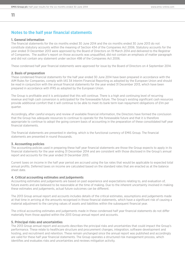## **Notes to the half year financial statements**

#### **1. General information**

**11**

The financial statements for the six months ended 30 June 2014 and the six months ended 30 June 2013 do not constitute statutory accounts within the meaning of Section 434 of the Companies Act 2006. Statutory accounts for the year ended 31 December 2013 were approved by the Board of Directors on 19 March 2014 and delivered to the Registrar of Companies. The auditor's report on those accounts was unqualified, did not contain an emphasis of matter paragraph and did not contain any statement under section 498 of the Companies Act 2006.

These condensed half year financial statements were approved for issue by the Board of Directors on 4 September 2014.

#### **2. Basis of preparation**

These condensed financial statements for the half year ended 30 June 2014 have been prepared in accordance with the AIM Rules for Companies, comply with IAS 34 Interim Financial Reporting as adopted by the European Union and should be read in conjunction with the annual financial statements for the year ended 31 December 2013, which have been prepared in accordance with IFRS as adopted by the European Union.

The Group is profitable and it is anticipated that this will continue. There is a high and continuing level of recurring revenue and high cash conversion is anticipated for the foreseeable future. The Group's existing significant cash resources provide additional comfort that it will continue to be able to meet its bank term loan repayment obligations of £1m per quarter.

Accordingly, after careful enquiry and review of available financial information, the Directors have formed the conclusion that the Group has adequate resources to continue to operate for the foreseeable future and that it is therefore appropriate to continue to adopt the going concern basis of accounting in the preparation of these consolidated half year financial statements.

The financial statements are presented in sterling, which is the functional currency of EMIS Group. The financial statements are presented in round thousands.

## **3. Accounting policies**

The accounting policies used in preparing these half year financial statements are those the Group expects to apply in its financial statements for the year ending 31 December 2014 and are consistent with those disclosed in the Group's annual report and accounts for the year ended 31 December 2013.

Current taxes on income in the half year period are accrued using the tax rates that would be applicable to expected total annual profits. Deferred taxes on income are calculated based on the standard rates that are enacted as at the balance sheet date.

#### **4. Critical accounting estimates and judgements**

Accounting estimates and judgements are based on past experience and expectations relating to, and evaluation of, future events and are believed to be reasonable at the time of making. Due to the inherent uncertainty involved in making these estimates and judgements, actual future outcomes can be different.

The 2013 Group annual report and accounts includes details of the critical estimates, assumptions and judgements made at that time in arriving at the amounts recognised in those financial statements, which have a significant risk of causing a material adjustment to the carrying values of assets and liabilities within the subsequent financial year.

The critical accounting estimates and judgements made in these condensed half year financial statements do not differ materially from those applied within the 2013 Group annual report and accounts.

#### **5. Principal risks and uncertainties**

The 2013 Group annual report and accounts describes the principal risks and uncertainties that could impact the Group's performance. These relate to healthcare structure and procurement changes, integration, software development and hosting, and recruitment and retention. These remain unchanged since the annual report was published and accordingly are valid for these half year financial statements. The Group operates a structured risk management process, which identifies and evaluates risks and uncertainties and reviews mitigation activity.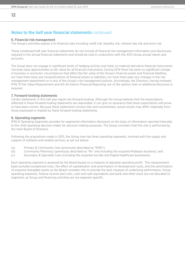## **6. Financial risk management**

**12**

The Group's activities expose it to financial risks including credit risk, liquidity risk, interest rate risk and price risk.

These condensed half year financial statements do not include all financial risk management information and disclosures required in the annual financial statements and should be read in conjunction with the 2013 Group annual report and accounts.

The Group does not engage in significant levels of hedging activity and holds no material derivative financial instruments. Carrying value approximates to fair value for all financial instruments. During 2014 there has been no significant change in business or economic circumstances that affect the fair value of the Group's financial assets and financial liabilities, nor have there been any reclassifications of financial assets or liabilities, nor have there been any changes in the risk management department or in any of the Group's risk management policies. Accordingly, the Directors, having reviewed IFRS 13 Fair Value Measurement and IAS 34 Interim Financial Reporting, are of the opinion that no additional disclosure is required.

## **7. Forward-looking statements**

Certain statements in this half year report are forward-looking. Although the Group believes that the expectations reflected in these forward-looking statements are reasonable, it can give no assurance that these expectations will prove to have been correct. Because these statements involve risks and uncertainties, actual results may differ materially from those expressed or implied by these forward-looking statements.

## **8. Operating segments**

IFRS 8 Operating Segments provides for segmental information disclosure on the basis of information reported internally to the chief operating decision-maker for decision-making purposes. The Group considers that this role is performed by the main Board of Directors.

Following the acquisitions made in 2013, the Group now has three operating segments, involved with the supply and support of software and related services, as set out below:

- (a) Primary & Community Care (previously described as "EMIS");
- (b) Community Pharmacy (previously described as "Rx" and including the acquired Multepos business); and
- (c) Secondary & Specialist Care (including the acquired Ascribe and Digital Healthcare businesses).

Each operating segment is assessed by the Board based on a measure of adjusted operating profit. This measurement basis excludes exceptional costs, the effect of capitalisation and amortisation of development costs, and the amortisation of acquired intangible assets as the Board considers this to provide the best measure of underlying performance. Group operating expenses, finance income and costs, cash and cash equivalents and bank and other loans are not allocated to segments, as Group and financing activities are not segment-specific.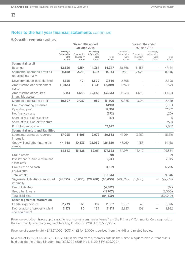## **8. Operating segments** continued

|                                                      |                                         | <b>Six months ended</b>        |                                            |                | Six months ended                        |                                |                                            |                |
|------------------------------------------------------|-----------------------------------------|--------------------------------|--------------------------------------------|----------------|-----------------------------------------|--------------------------------|--------------------------------------------|----------------|
|                                                      |                                         | 30 June 2014                   |                                            |                | 30 June 2013                            |                                |                                            |                |
|                                                      | Primary &<br>Community<br>Care<br>£'000 | Community<br>Pharmacy<br>£'000 | Secondary<br>& Specialist<br>Care<br>£'000 | Total<br>£'000 | Primary &<br>Community<br>Care<br>£'000 | Community<br>Pharmacy<br>£'000 | Secondary<br>& Specialist<br>Care<br>£'000 | Total<br>£'000 |
| <b>Segmental result</b>                              |                                         |                                |                                            |                |                                         |                                |                                            |                |
| Revenue                                              | 42,836                                  | 9,154                          | 14,387                                     | 66,377         | 38,668                                  | 8,456                          |                                            | 47,124         |
| Segmental operating profit as<br>reported internally | 11,140                                  | 2,081                          | 1,913                                      | 15,134         | 9,917                                   | 2,029                          |                                            | 11,946         |
| Development costs capitalised                        | 1,836                                   | 401                            | 1,309                                      | 3,546          | 2,698                                   |                                |                                            | 2,698          |
| Amortisation of development<br>costs                 | (1,865)                                 |                                | (154)                                      | (2,019)        | (692)                                   |                                |                                            | (692)          |
| Amortisation of acquired<br>intangible assets        | (714)                                   | (425)                          | (2,116)                                    | (3,255)        | (1,038)                                 | (425)                          |                                            | (1,463)        |
| Segmental operating profit                           | 10,397                                  | 2,057                          | 952                                        | 13,406         | 10,885                                  | 1,604                          |                                            | 12,489         |
| Group operating expenses                             |                                         |                                |                                            | (490)          |                                         |                                |                                            | (387)          |
| Operating profit                                     |                                         |                                |                                            | 12,916         |                                         |                                |                                            | 12,102         |
| Net finance costs                                    |                                         |                                |                                            | (272)          |                                         |                                |                                            | (20)           |
| Share of result of associate                         |                                         |                                |                                            | (17)           |                                         |                                |                                            | 5              |
| Share of result of joint venture                     |                                         |                                |                                            |                |                                         |                                |                                            | (50)           |
| Profit before taxation                               |                                         |                                |                                            | 12,627         |                                         |                                |                                            | 12,037         |
| <b>Segmental assets and liabilities</b>              |                                         |                                |                                            |                |                                         |                                |                                            |                |
| Segmental assets as reported<br>internally           | 37,095                                  | 3,495                          | 9,972                                      | 50,562         | 41,964                                  | 3,252                          |                                            | 45,216         |
| Goodwill and other intangible<br>assets              | 44,448                                  | 10,333                         | 72,039                                     | 126,820        | 43,010                                  | 11,158                         |                                            | 54,168         |
|                                                      | 81,543                                  | 13,828                         | 82,011                                     | 177,382        | 84,974                                  | 14,410                         |                                            | 99,384         |
| Group assets                                         |                                         |                                |                                            | 90             |                                         |                                |                                            | 21             |
| Investment in joint venture and<br>associates        |                                         |                                |                                            | 2,743          |                                         |                                |                                            | 2,745          |
| Group cash and cash<br>equivalents                   |                                         |                                |                                            | 11,629         |                                         |                                |                                            | 17,796         |
| Total assets                                         |                                         |                                |                                            | 191,844        |                                         |                                |                                            | 119,946        |
| Segmental liabilities as reported<br>internally      | (41, 555)                               |                                | $(6,635)$ $(20,260)$                       | (68, 450)      | (40, 629)                               | (6,650)                        |                                            | (47, 279)      |
| Group liabilities                                    |                                         |                                |                                            | (4, 382)       |                                         |                                |                                            | (61)           |
| Group bank loans                                     |                                         |                                |                                            | (11,707)       |                                         |                                |                                            | (3,000)        |
| <b>Total liabilities</b>                             |                                         |                                |                                            | (84, 539)      |                                         |                                |                                            | (50, 340)      |
| <b>Other segmental information</b>                   |                                         |                                |                                            |                |                                         |                                |                                            |                |
| Capital expenditure                                  | 2,239                                   | 171                            | 192                                        | 2,602          | 5,027                                   | 49                             |                                            | 5,076          |
| Depreciation of property, plant<br>and equipment     | 3,571                                   | 80                             | 164                                        | 3,815          | 2,823                                   | 109                            |                                            | 2,932          |

Revenue excludes intra-group transactions on normal commercial terms from the Primary & Community Care segment to the Community Pharmacy segment totalling £1,597,000 (2013 H1: £1,530,000).

Revenue of approximately £48,211,000 (2013 H1: £34,416,000) is derived from the NHS and related bodies.

Revenue of £2,361,000 (2013 H1: £623,000) is derived from customers outside the United Kingdom. Non-current assets held outside the United Kingdom total £25,000 (2013 H1: £nil, 2013 FY: £29,000).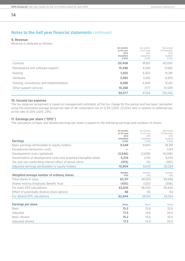#### **9. Revenue**

**14**

Revenue is analysed as follows:

|                                          | Six months<br>to 30 June<br>2014<br><b>Unaudited</b><br>£'000 | Six months<br>to 30 June<br>2013<br>Unaudited<br>£'000 | Year ended<br>31 December<br>2013<br>Audited<br>£'000 |
|------------------------------------------|---------------------------------------------------------------|--------------------------------------------------------|-------------------------------------------------------|
| Licences                                 | 20,408                                                        | 18,821                                                 | 40,000                                                |
| Maintenance and software support         | 15,498                                                        | 6,593                                                  | 17,682                                                |
| Hosting                                  | 7,350                                                         | 6,302                                                  | 14,281                                                |
| <b>Hardware</b>                          | 3,565                                                         | 3,282                                                  | 6,929                                                 |
| Training, consultancy and implementation | 9,288                                                         | 4,949                                                  | 12,142                                                |
| Other support services                   | 10,268                                                        | 7,177                                                  | 14,508                                                |
|                                          | 66,377                                                        | 47,124                                                 | 105,542                                               |

## **10. Income tax expense**

The tax expense recognised is based on management estimates of the tax charge for the period and has been calculated using the estimated average annual tax rate of UK corporation tax of 21.5% (2013: 23.25%) and, in relation to deferred tax, at the rate of 20% (2013: 23%).

#### **11. Earnings per share ("EPS")**

The calculation of basic and diluted earnings per share is based on the following earnings and numbers of shares:

|                                                                  | Six months<br>to 30 June<br>2014 | Six months<br>to 30 June<br>2013 | Year ended<br>31 December<br>2013 |
|------------------------------------------------------------------|----------------------------------|----------------------------------|-----------------------------------|
| <b>Earnings</b>                                                  | <b>Unaudited</b><br>£'000        | Unaudited<br>£'000               | Audited<br>£'000                  |
| Basic earnings attributable to equity holders                    | 9,549                            | 9,064                            | 19,391                            |
| Exceptional transaction costs                                    |                                  |                                  | 1,144                             |
| Development costs capitalised                                    | (3,546)                          | (2,698)                          | (6,098)                           |
| Amortisation of development costs and acquired intangible assets | 5,274                            | 2.155                            | 6,074                             |
| Tax and non-controlling interest effect of above items           | (373)                            | 122                              | (287)                             |
| Adjusted earnings attributable to equity holders                 | 10,904                           | 8.643                            | 20,224                            |
|                                                                  | Number                           | Number                           | Number                            |
| Weighted average number of ordinary shares                       | '000                             | <b>COO</b>                       | <b>'000</b>                       |
| Total shares in issue                                            | 63,311                           | 58,550                           | 59,946                            |
| Shares held by Employee Benefit Trust                            | (435)                            | (520)                            | (506)                             |
| For basic EPS calculations                                       | 62,876                           | 58,030                           | 59,440                            |
| Effect of potentially dilutive share options                     | 68                               | 135                              | 114                               |
| For diluted EPS calculations                                     | 62,944                           | 58,165                           | 59,554                            |
|                                                                  |                                  |                                  |                                   |
| <b>Earnings per share</b>                                        | Pence                            | Pence                            | Pence                             |
| <b>Basic</b>                                                     | 15.2                             | 15.6                             | 32.6                              |
| Adjusted                                                         | 17.3                             | 14.9                             | 34.0                              |
| Basic diluted                                                    | 15.2                             | 15.6                             | 32.6                              |
| Adjusted diluted                                                 | 17.3                             | 14.9                             | 34.0                              |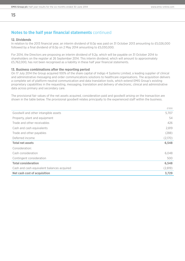#### **12. Dividends**

**15**

In relation to the 2013 financial year, an interim dividend of 8.0p was paid on 31 October 2013 amounting to £5,026,000 followed by a final dividend of 8.0p on 2 May 2014 amounting to £5,030,000.

For 2014, the Directors are proposing an interim dividend of 9.2p, which will be payable on 31 October 2014 to shareholders on the register at 26 September 2014. This interim dividend, which will amount to approximately £5,762,000, has not been recognised as a liability in these half year financial statements.

#### **13. Business combinations after the reporting period**

On 17 July 2014 the Group acquired 100% of the share capital of Indigo 4 Systems Limited, a leading supplier of clinical and administrative messaging and order communications solutions to healthcare organisations. The acquisition delivers a complete set of platform-neutral communication and data translation tools, which extend EMIS Group's existing proprietary capabilities in the requesting, messaging, translation and delivery of electronic, clinical and administrative data across primary and secondary care.

The provisional fair values of the net assets acquired, consideration paid and goodwill arising on the transaction are shown in the table below. The provisional goodwill relates principally to the experienced staff within the business.

|                                            | £'000   |
|--------------------------------------------|---------|
| Goodwill and other intangible assets       | 5,707   |
| Property, plant and equipment              | 54      |
| Trade and other receivables                | 426     |
| Cash and cash equivalents                  | 2,819   |
| Trade and other payables                   | (288)   |
| Deferred income                            | (2,170) |
| <b>Total net assets</b>                    | 6,548   |
| Consideration:                             |         |
| Cash consideration                         | 6,048   |
| Contingent consideration                   | 500     |
| <b>Total consideration</b>                 | 6,548   |
| Cash and cash equivalent balances acquired | (2,819) |
| <b>Net cash cost of acquisition</b>        | 3,729   |
|                                            |         |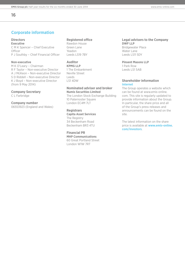## **Corporate information**

## **Directors**

**Executive** C M K Spencer – Chief Executive **Officer** P J Southby – Chief Financial Officer

## **Non-executive**

M K O'Leary – Chairman R F Taylor – Non-executive Director A J McKeon – Non-executive Director S D Riddell – Non-executive Director K J Boyd – Non-executive Director (from 9 May 2014)

## **Company Secretary**

C L Farbridge

## **Company number**

06553923 (England and Wales)

#### **Registered office**

Rawdon House Green Lane Yeadon Leeds LS19 7BY

## **Auditor**

**KPMG LLP** 1 The Embankment Neville Street Leeds LS1 4DW

#### **Nominated adviser and broker Numis Securities Limited**

The London Stock Exchange Building 10 Paternoster Square London EC4M 7LT

## **Registrars**

**Capita Asset Services** The Registry 34 Beckenham Road Beckenham BR3 4TU

#### **Financial PR MHP Communications**

60 Great Portland Street London W1W 7RT

## **Legal advisers to the Company DWF LLP**

Bridgewater Place Water Lane Leeds LS11 5DY

**Pinsent Masons LLP** 1 Park Row

Leeds LS1 5AB

#### **Shareholder information Internet**

The Group operates a website which can be found at www.emis-online. com. This site is regularly updated to provide information about the Group. In particular, the share price and all of the Group's press releases and announcements can be found on the site.

The latest information on the share price is available at **www.emis-online. com/investors**.